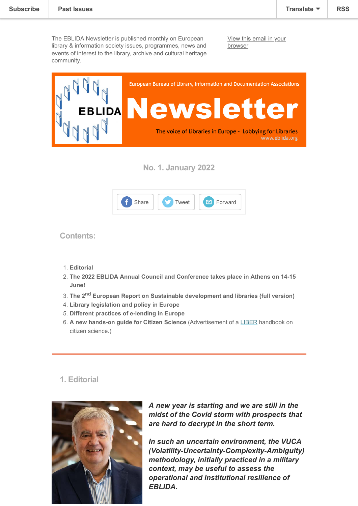The EBLIDA Newsletter is published monthly on European library & information society issues, programmes, news and events of interest to the library, archive and cultural heritage community.

[View this email in your](https://mailchi.mp/70af7d3ea268/eblida-newsletter-4929194?e=[UNIQID]) browser



**No. 1. January 2022**



**Contents:**

- 1. **Editorial**
- 2. **The 2022 EBLIDA Annual Council and Conference takes place in Athens on 14-15 June!**
- 3. **The 2nd European Report on Sustainable development and libraries (full version)**
- 4. **Library legislation and policy in Europe**
- 5. **Different practices of e-lending in Europe**
- 6. **A new hands-on guide for Citizen Science** (Advertisement of a [LIBER](https://libereurope.eu/) handbook on citizen science.)

## **1. Editorial**



*A new year is starting and we are still in the midst of the Covid storm with prospects that are hard to decrypt in the short term.*

*In such an uncertain environment, the VUCA (Volatility-Uncertainty-Complexity-Ambiguity) methodology, initially practiced in a military context, may be useful to assess the operational and institutional resilience of EBLIDA.*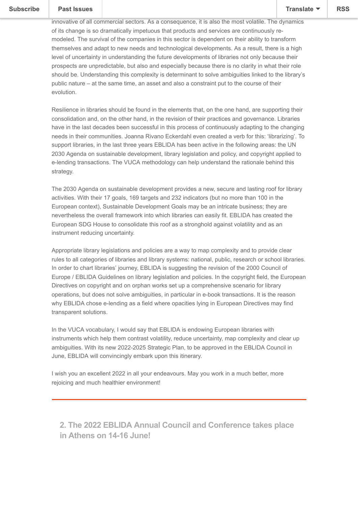# $T_{\text{reduced}}$  in which libraries operations operate (media and information) is perhaps the most operators the most operators the most operators of  $\mathbb{R}^n$

innovative of all commercial sectors. As a consequence, it is also the most volatile. The dynamics of its change is so dramatically impetuous that products and services are continuously remodeled. The survival of the companies in this sector is dependent on their ability to transform themselves and adapt to new needs and technological developments. As a result, there is a high level of uncertainty in understanding the future developments of libraries not only because their prospects are unpredictable, but also and especially because there is no clarity in what their role should be. Understanding this complexity is determinant to solve ambiguities linked to the library's public nature – at the same time, an asset and also a constraint put to the course of their evolution.

Resilience in libraries should be found in the elements that, on the one hand, are supporting their consolidation and, on the other hand, in the revision of their practices and governance. Libraries have in the last decades been successful in this process of continuously adapting to the changing needs in their communities. Joanna Rivano Eckerdahl even created a verb for this: 'librarizing'. To support libraries, in the last three years EBLIDA has been active in the following areas: the UN 2030 Agenda on sustainable development, library legislation and policy, and copyright applied to e-lending transactions. The VUCA methodology can help understand the rationale behind this strategy.

The 2030 Agenda on sustainable development provides a new, secure and lasting roof for library activities. With their 17 goals, 169 targets and 232 indicators (but no more than 100 in the European context), Sustainable Development Goals may be an intricate business; they are nevertheless the overall framework into which libraries can easily fit. EBLIDA has created the European SDG House to consolidate this roof as a stronghold against volatility and as an instrument reducing uncertainty.

Appropriate library legislations and policies are a way to map complexity and to provide clear rules to all categories of libraries and library systems: national, public, research or school libraries. In order to chart libraries' journey, EBLIDA is suggesting the revision of the 2000 Council of Europe / EBLIDA Guidelines on library legislation and policies. In the copyright field, the European Directives on copyright and on orphan works set up a comprehensive scenario for library operations, but does not solve ambiguities, in particular in e-book transactions. It is the reason why EBLIDA chose e-lending as a field where opacities lying in European Directives may find transparent solutions.

In the VUCA vocabulary, I would say that EBLIDA is endowing European libraries with instruments which help them contrast volatility, reduce uncertainty, map complexity and clear up ambiguities. With its new 2022-2025 Strategic Plan, to be approved in the EBLIDA Council in June, EBLIDA will convincingly embark upon this itinerary.

I wish you an excellent 2022 in all your endeavours. May you work in a much better, more rejoicing and much healthier environment!

**2. The 2022 EBLIDA Annual Council and Conference takes place in Athens on 14-16 June!**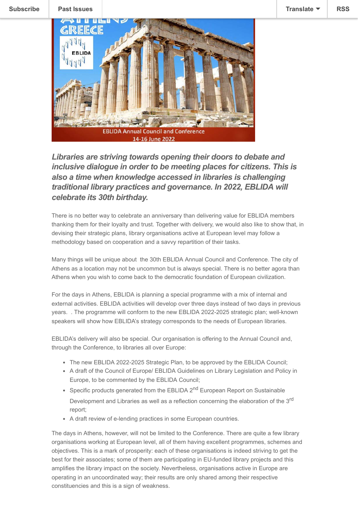

*Libraries are striving towards opening their doors to debate and inclusive dialogue in order to be meeting places for citizens. This is also a time when knowledge accessed in libraries is challenging traditional library practices and governance. In 2022, EBLIDA will celebrate its 30th birthday.*

There is no better way to celebrate an anniversary than delivering value for EBLIDA members thanking them for their loyalty and trust. Together with delivery, we would also like to show that, in devising their strategic plans, library organisations active at European level may follow a methodology based on cooperation and a savvy repartition of their tasks.

Many things will be unique about the 30th EBLlDA Annual Council and Conference. The city of Athens as a location may not be uncommon but is always special. There is no better agora than Athens when you wish to come back to the democratic foundation of European civilization.

For the days in Athens, EBLIDA is planning a special programme with a mix of internal and external activities. EBLIDA activities will develop over three days instead of two days in previous years. . The programme will conform to the new EBLIDA 2022-2025 strategic plan; well-known speakers will show how EBLIDA's strategy corresponds to the needs of European libraries.

EBLIDA's delivery will also be special. Our organisation is offering to the Annual Council and, through the Conference, to libraries all over Europe:

- The new EBLIDA 2022-2025 Strategic Plan, to be approved by the EBLIDA Council;
- A draft of the Council of Europe/ EBLIDA Guidelines on Library Legislation and Policy in Europe, to be commented by the EBLIDA Council;
- Specific products generated from the EBLIDA 2<sup>nd</sup> European Report on Sustainable Development and Libraries as well as a reflection concerning the elaboration of the 3<sup>rd</sup> report;
- A draft review of e-lending practices in some European countries.

The days in Athens, however, will not be limited to the Conference. There are quite a few library organisations working at European level, all of them having excellent programmes, schemes and objectives. This is a mark of prosperity: each of these organisations is indeed striving to get the best for their associates; some of them are participating in EU-funded library projects and this amplifies the library impact on the society. Nevertheless, organisations active in Europe are operating in an uncoordinated way; their results are only shared among their respective constituencies and this is a sign of weakness.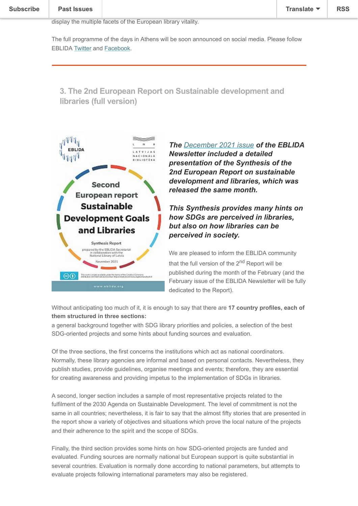#### We wish to operations a formulations and show that their specific policies and show that their specific policies  $\mathbb{R}$ and objectives, even when they are not perfect lying aligned, deserve wider diffusion in order to  $\frac{1}{\sqrt{2}}$

The full programme of the days in Athens will be soon announced on social media. Please follow EBLIDA [Twitter](https://twitter.com/intent/follow?source=followbutton&variant=1.0&screen_name=eblida) and [Facebook.](http://www.facebook.com/eblida)

**3. The 2nd European Report on Sustainable development and libraries (full version)**



*The [December 2021 issue](https://mailchi.mp/316f692cdbdd/eblida-newsletter-4870162?e=[UNIQID]) of the EBLIDA Newsletter included a detailed presentation of the Synthesis of the 2nd European Report on sustainable development and libraries, which was released the same month.*

### *This Synthesis provides many hints on how SDGs are perceived in libraries, but also on how libraries can be perceived in society.*

We are pleased to inform the EBLIDA community that the full version of the 2<sup>nd</sup> Report will be published during the month of the February (and the February issue of the EBLIDA Newsletter will be fully dedicated to the Report).

Without anticipating too much of it, it is enough to say that there are **17 country profiles, each of them structured in three sections:** 

a general background together with SDG library priorities and policies, a selection of the best SDG-oriented projects and some hints about funding sources and evaluation.

Of the three sections, the first concerns the institutions which act as national coordinators. Normally, these library agencies are informal and based on personal contacts. Nevertheless, they publish studies, provide guidelines, organise meetings and events; therefore, they are essential for creating awareness and providing impetus to the implementation of SDGs in libraries.

A second, longer section includes a sample of most representative projects related to the fulfilment of the 2030 Agenda on Sustainable Development. The level of commitment is not the same in all countries; nevertheless, it is fair to say that the almost fifty stories that are presented in the report show a variety of objectives and situations which prove the local nature of the projects and their adherence to the spirit and the scope of SDGs.

Finally, the third section provides some hints on how SDG-oriented projects are funded and evaluated. Funding sources are normally national but European support is quite substantial in several countries. Evaluation is normally done according to national parameters, but attempts to evaluate projects following international parameters may also be registered.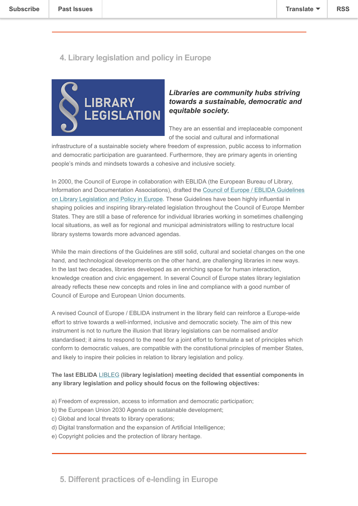## **4. Library legislation and policy in Europe**

**be presented in detail in the February issue of this Newsletter.**



### *Libraries are community hubs striving towards a sustainable, democratic and equitable society.*

They are an essential and irreplaceable component of the social and cultural and informational

infrastructure of a sustainable society where freedom of expression, public access to information and democratic participation are guaranteed. Furthermore, they are primary agents in orienting people's minds and mindsets towards a cohesive and inclusive society.

In 2000, the Council of Europe in collaboration with EBLIDA (the European Bureau of Library, [Information and Documentation Associations\), drafted the Council of Europe / EBLIDA Guidelines](http://www.eblida.org/Documents/Council-of-Europe-EBLIDA-Guidelines-on-Library-Legislation-and-Policy-in-Europe.pdf) on Library Legislation and Policy in Europe. These Guidelines have been highly influential in shaping policies and inspiring library-related legislation throughout the Council of Europe Member States. They are still a base of reference for individual libraries working in sometimes challenging local situations, as well as for regional and municipal administrators willing to restructure local library systems towards more advanced agendas.

While the main directions of the Guidelines are still solid, cultural and societal changes on the one hand, and technological developments on the other hand, are challenging libraries in new ways. In the last two decades, libraries developed as an enriching space for human interaction, knowledge creation and civic engagement. In several Council of Europe states library legislation already reflects these new concepts and roles in line and compliance with a good number of Council of Europe and European Union documents.

A revised Council of Europe / EBLIDA instrument in the library field can reinforce a Europe-wide effort to strive towards a well-informed, inclusive and democratic society. The aim of this new instrument is not to nurture the illusion that library legislations can be normalised and/or standardised; it aims to respond to the need for a joint effort to formulate a set of principles which conform to democratic values, are compatible with the constitutional principles of member States, and likely to inspire their policies in relation to library legislation and policy.

#### **The last EBLIDA** [LIBLEG](http://www.eblida.org/about-eblida/expert-groups/wg-on-library-legislation-policy-in-europe-libleg.html) **(library legislation) meeting decided that essential components in any library legislation and policy should focus on the following objectives:**

- a) Freedom of expression, access to information and democratic participation;
- b) the European Union 2030 Agenda on sustainable development;
- c) Global and local threats to library operations;
- d) Digital transformation and the expansion of Artificial Intelligence;
- e) Copyright policies and the protection of library heritage.

**5. Different practices of e-lending in Europe**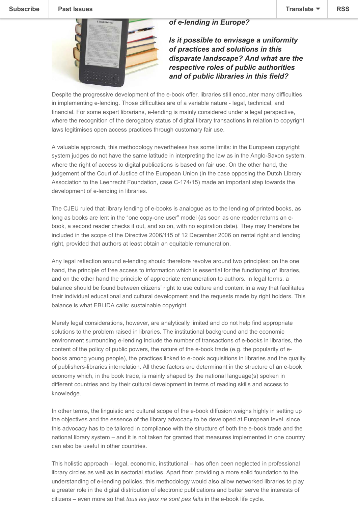#### **[Subscribe](http://eepurl.com/bc15AP) [Past Issues](https://us9.campaign-archive.com/home/?u=e89f2b03e1c5beec6e43581dd&id=b3e430f971) Translate [RSS](https://us9.campaign-archive.com/feed?u=e89f2b03e1c5beec6e43581dd&id=b3e430f971)**

#### *of e-lending in Europe?*



### *Is it possible to envisage a uniformity of practices and solutions in this disparate landscape? And what are the respective roles of public authorities and of public libraries in this field?*

Despite the progressive development of the e-book offer, libraries still encounter many difficulties in implementing e-lending. Those difficulties are of a variable nature - legal, technical, and financial. For some expert librarians, e-lending is mainly considered under a legal perspective, where the recognition of the derogatory status of digital library transactions in relation to copyright laws legitimises open access practices through customary fair use.

A valuable approach, this methodology nevertheless has some limits: in the European copyright system judges do not have the same latitude in interpreting the law as in the Anglo-Saxon system, where the right of access to digital publications is based on fair use. On the other hand, the judgement of the Court of Justice of the European Union (in the case opposing the Dutch Library Association to the Leenrecht Foundation, case C-174/15) made an important step towards the development of e-lending in libraries.

The CJEU ruled that library lending of e-books is analogue as to the lending of printed books, as long as books are lent in the "one copy-one user" model (as soon as one reader returns an ebook, a second reader checks it out, and so on, with no expiration date). They may therefore be included in the scope of the Directive 2006/115 of 12 December 2006 on rental right and lending right, provided that authors at least obtain an equitable remuneration.

Any legal reflection around e-lending should therefore revolve around two principles: on the one hand, the principle of free access to information which is essential for the functioning of libraries, and on the other hand the principle of appropriate remuneration to authors. In legal terms, a balance should be found between citizens' right to use culture and content in a way that facilitates their individual educational and cultural development and the requests made by right holders. This balance is what EBLIDA calls: sustainable copyright.

Merely legal considerations, however, are analytically limited and do not help find appropriate solutions to the problem raised in libraries. The institutional background and the economic environment surrounding e-lending include the number of transactions of e-books in libraries, the content of the policy of public powers, the nature of the e-book trade (e.g. the popularity of ebooks among young people), the practices linked to e-book acquisitions in libraries and the quality of publishers-libraries interrelation. All these factors are determinant in the structure of an e-book economy which, in the book trade, is mainly shaped by the national language(s) spoken in different countries and by their cultural development in terms of reading skills and access to knowledge.

In other terms, the linguistic and cultural scope of the e-book diffusion weighs highly in setting up the objectives and the essence of the library advocacy to be developed at European level, since this advocacy has to be tailored in compliance with the structure of both the e-book trade and the national library system – and it is not taken for granted that measures implemented in one country can also be useful in other countries.

This holistic approach – legal, economic, institutional – has often been neglected in professional library circles as well as in sectorial studies. Apart from providing a more solid foundation to the understanding of e-lending policies, this methodology would also allow networked libraries to play a greater role in the digital distribution of electronic publications and better serve the interests of citizens – even more so that *tous les jeux ne sont pas faits* in the e-book life cycle.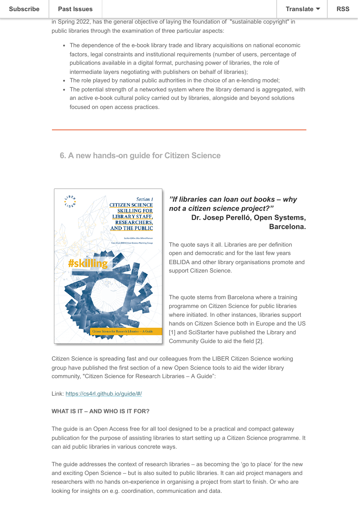# $T$  survey on e-lending in the context of the context of the book economy, whose results will be known  $\frac{1}{\sqrt{2}}$

in Spring 2022, has the general objective of laying the foundation of "sustainable copyright" in public libraries through the examination of three particular aspects:

- The dependence of the e-book library trade and library acquisitions on national economic factors, legal constraints and institutional requirements (number of users, percentage of publications available in a digital format, purchasing power of libraries, the role of intermediate layers negotiating with publishers on behalf of libraries);
- The role played by national public authorities in the choice of an e-lending model;
- The potential strength of a networked system where the library demand is aggregated, with an active e-book cultural policy carried out by libraries, alongside and beyond solutions focused on open access practices.

## **6. A new hands-on guide for Citizen Science**



#### *"If libraries can loan out books – why not a citizen science project?"* **Dr. Josep Perelló, Open Systems, Barcelona.**

The quote says it all. Libraries are per definition open and democratic and for the last few years EBLIDA and other library organisations promote and support Citizen Science.

The quote stems from Barcelona where a training programme on Citizen Science for public libraries where initiated. In other instances, libraries support hands on Citizen Science both in Europe and the US [1] and SciStarter have published the Library and Community Guide to aid the field [2].

Citizen Science is spreading fast and our colleagues from the LIBER Citizen Science working group have published the first section of a new Open Science tools to aid the wider library community, "Citizen Science for Research Libraries – A Guide":

Link: <https://cs4rl.github.io/guide/#/>

#### **WHAT IS IT – AND WHO IS IT FOR?**

The guide is an Open Access free for all tool designed to be a practical and compact gateway publication for the purpose of assisting libraries to start setting up a Citizen Science programme. It can aid public libraries in various concrete ways.

The guide addresses the context of research libraries – as becoming the 'go to place' for the new and exciting Open Science – but is also suited to public libraries. It can aid project managers and researchers with no hands on-experience in organising a project from start to finish. Or who are looking for insights on e.g. coordination, communication and data.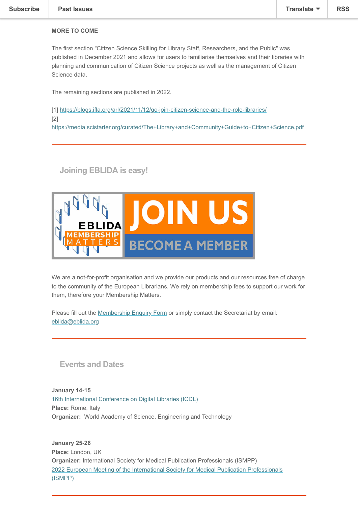### **MORE TO COME**

The first section "Citizen Science Skilling for Library Staff, Researchers, and the Public" was published in December 2021 and allows for users to familiarise themselves and their libraries with planning and communication of Citizen Science projects as well as the management of Citizen Science data.

The remaining sections are published in 2022.

[1] <https://blogs.ifla.org/arl/2021/11/12/go-join-citizen-science-and-the-role-libraries/> [2] <https://media.scistarter.org/curated/The+Library+and+Community+Guide+to+Citizen+Science.pdf>

**Joining EBLIDA is easy!**



We are a not-for-profit organisation and we provide our products and our resources free of charge to the community of the European Librarians. We rely on membership fees to support our work for them, therefore your Membership Matters.

Please fill out the [Membership Enquiry Form](http://www.eblida.org/membership/membership-enquiry-form.html) or simply contact the Secretariat by email: [eblida@eblida.org](mailto:eblida@eblida.org)

## **Events and Dates**

**January 14-15** [16th International Conference on Digital Libraries \(ICDL\)](http://www.eblida.org/freeze-url/16th-international-conference-on-digital-libraries-(icdl)-2022.html) **Place:** Rome, Italy **Organizer:** World Academy of Science, Engineering and Technology

**January 25-26 Place:** London, UK **Organizer:** International Society for Medical Publication Professionals (ISMPP) [2022 European Meeting of the International Society for Medical Publication Professionals](http://www.eblida.org/freeze-url/2022-european-meeting-of-the-international-society-for-medical-publication-professionals-(ismpp).html) (ISMPP)